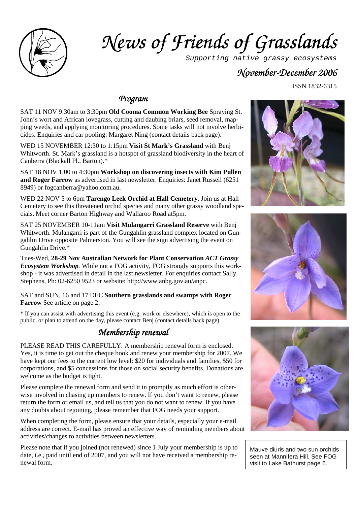

# $Ne$ *us of Friends of Grasslands*

Supporting native grassy ecosystems

### *November- November-December December December2006*

ISSN 1832-6315

#### *Program Program*

SAT 11 NOV 9:30am to 3:30pm **Old Cooma Common Working Bee** Spraying St. John's wort and African lovegrass, cutting and daubing briars, seed removal, mapping weeds, and applying monitoring procedures. Some tasks will not involve herbicides. Enquiries and car pooling: Margaret Ning (contact details back page).

WED 15 NOVEMBER 12:30 to 1:15pm **Visit St Mark's Grassland** with Benj Whitworth. St. Mark's grassland is a hotspot of grassland biodiversity in the heart of Canberra (Blackall Pl., Barton).\*

SAT 18 NOV 1:00 to 4:30pm **Workshop on discovering insects with Kim Pullen and Roger Farrow** as advertised in last newsletter. Enquiries: Janet Russell (6251 8949) or fogcanberra@yahoo.com.au.

WED 22 NOV 5 to 6pm **Tarengo Leek Orchid at Hall Cemetery**. Join us at Hall Cemetery to see this threatened orchid species and many other grassy woodland specials. Meet corner Barton Highway and Wallaroo Road at5pm.

SAT 25 NOVEMBER 10-11am **Visit Mulangarri Grassland Reserve** with Benj Whitworth. Mulangarri is part of the Gungahlin grassland complex located on Gungahlin Drive opposite Palmerston. You will see the sign advertising the event on Gungahlin Drive.\*

Tues-Wed, **28-29 Nov Australian Network for Plant Conservation** *ACT Grassy Ecosystem Workshop.* While not a FOG activity, FOG strongly supports this workshop - it was advertised in detail in the last newsletter. For enquiries contact Sally Stephens, Ph: 02-6250 9523 or website: http://www.anbg.gov.au/anpc.

SAT and SUN, 16 and 17 DEC **Southern grasslands and swamps with Roger Farrow** See article on page 2.

\* If you can assist with advertising this event (e.g. work or elsewhere), which is open to the public, or plan to attend on the day, please contact Benj (contact details back page).

### *Membership re Membership renewal*

PLEASE READ THIS CAREFULLY: A membership renewal form is enclosed. Yes, it is time to get out the cheque book and renew your membership for 2007. We have kept our fees to the current low level: \$20 for individuals and families, \$50 for corporations, and \$5 concessions for those on social security benefits. Donations are welcome as the budget is tight.

Please complete the renewal form and send it in promptly as much effort is otherwise involved in chasing up members to renew. If you don't want to renew, please return the form or email us, and tell us that you do not want to renew. If you have any doubts about rejoining, please remember that FOG needs your support.

When completing the form, please ensure that your details, especially your e-mail address are correct. E-mail has proved an effective way of reminding members about activities/changes to activities between newsletters.

Please note that if you joined (not renewed) since 1 July your membership is up to date, i.e., paid until end of 2007, and you will not have received a membership renewal form.







Mauve diuris and two sun orchids seen at Mannifera Hill. See FOG visit to Lake Bathurst page 6.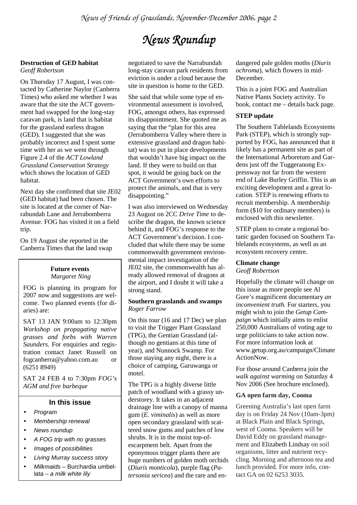## $N$ ews Roundup

#### **Destruction of GED habitat**  *Geoff Robertson*

On Thursday 17 August, I was contacted by Catherine Naylor (Canberra Times) who asked me whether I was aware that the site the ACT government had swapped for the long-stay caravan park, is land that is habitat for the grassland earless dragon (GED). I suggested that she was probably incorrect and I spent some time with her as we went through Figure 2.4 of the *ACT Lowland Grassland Conservation Strategy*  which shows the location of GED habitat.

Next day she confirmed that site JE02 (GED habitat) had been chosen. The site is located at the corner of Narrabundah Lane and Jerrabomberra Avenue. FOG has visited it on a field trip.

On 19 August she reported in the Canberra Times that the land swap

#### **Future events**  *Margaret Ning*

FOG is planning its program for 2007 now and suggestions are welcome. Two planned events (for diaries) are:

SAT 13 JAN 9:00am to 12:30pm *Workshop on propagating native grasses and forbs with Warren Saunders.* For enquiries and registration contact Janet Russell on fogcanberra@yahoo.com.au or (6251 8949)

SAT 24 FEB 4 to 7:30pm *FOG's AGM and free barbeque*

#### **In this issue**

- Program
- Membership renewal
- News roundup
- A FOG trip with no grasses
- Images of possibilities
- Living Murray success story
- Milkmaids Burchardia umbellata –  $a$  milk white lily

negotiated to save the Narrabundah long-stay caravan park residents from eviction is under a cloud because the site in question is home to the GED.

She said that while some type of environmental assessment is involved, FOG, amongst others, has expressed its disappointment. She quoted me as saying that the "plan for this area (Jerrabomberra Valley where there is extensive grassland and dragon habitat) was to put in place developments that wouldn't have big impact on the land. If they were to build on that spot, it would be going back on the ACT Government's own efforts to protect the animals, and that is very disappointing."

I was also interviewed on Wednesday 23 August on 2CC *Drive Time* to describe the dragon, the known science behind it, and FOG's response to the ACT Government's decision. I concluded that while there may be some commonwealth government environmental impact investigation of the JE02 site, the commonwealth has already allowed removal of dragons at the airport, and I doubt it will take a strong stand.

#### **Southern grasslands and swamps**  *Roger Farrow*

On this tour (16 and 17 Dec) we plan to visit the Trigger Plant Grassland (TPG), the Gentian Grassland (although no gentians at this time of year), and Nunnock Swamp. For those staying any night, there is a choice of camping, Garuwanga or motel.

The TPG is a highly diverse little patch of woodland with a grassy understorey. It takes in an adjacent drainage line with a canopy of manna gum (*E. viminalis*) as well as more open secondary grassland with scattered snow gums and patches of low shrubs. It is in the moist top-ofescarpment belt. Apart from the eponymous trigger plants there are huge numbers of golden moth orchids (*Diuris monticola*), purple flag (*Patersonia sericea*) and the rare and endangered pale golden moths (*Diuris ochroma*), which flowers in mid-December.

This is a joint FOG and Australian Native Plants Society activity. To book, contact me – details back page.

#### **STEP update**

The Southern Tablelands Ecosystems Park (STEP), which is strongly supported by FOG, has announced that it likely has a permanent site as part of the International Arboretum and Gardens just off the Tuggeranong Expressway not far from the western end of Lake Burley Griffin. This is an exciting development and a great location. STEP is renewing efforts to recruit membership. A membership form (\$10 for ordinary members) is enclosed with this newsletter.

STEP plans to create a regional botanic garden focused on Southern Tablelands ecosystems, as well as an ecosystem recovery centre.

#### **Climate change**

*Geoff Robertson* 

Hopefully the climate will change on this issue as more people see Al Gore's magnificent documentary *an inconvenient truth.* For starters, you might wish to join the *Getup Campaign* which initially aims to enlist 250,000 Australians of voting age to urge politicians to take action now. For more information look at www.getup.org.au/campaign/Climate ActionNow.

For those around Canberra join the *walk against warming* on Saturday 4 Nov 2006 (See brochure enclosed).

#### **GA open farm day, Cooma**

Greening Australia's last open farm day is on Friday 24 Nov (10am-3pm) at Black Plain and Black Springs, west of Cooma. Speakers will be David Eddy on grassland management and Elizabeth Lindsay on soil organisms, litter and nutrient recycling. Morning and afternoon tea and lunch provided. For more info, contact GA on 02 6253 3035.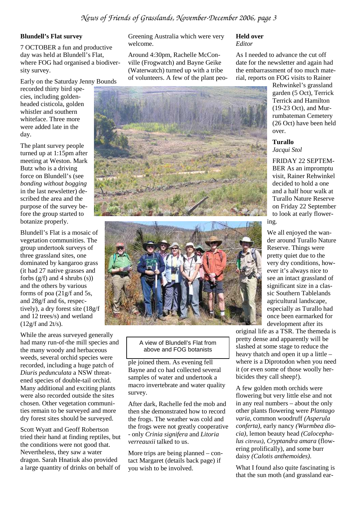#### **Blundell's Flat survey**

7 OCTOBER a fun and productive day was held at Blundell's Flat, where FOG had organised a biodiversity survey.

Early on the Saturday Jenny Bounds

recorded thirty bird species, including goldenheaded cisticola, golden whistler and southern whiteface. Three more were added late in the day.

The plant survey people turned up at 1:15pm after meeting at Weston. Mark Butz who is a driving force on Blundell's (see *bonding without bogging*  in the last newsletter) described the area and the purpose of the survey before the group started to botanize properly.

Blundell's Flat is a mosaic of vegetation communities. The group undertook surveys of three grassland sites, one dominated by kangaroo grass (it had 27 native grasses and forbs  $(g/f)$  and 4 shrubs  $(s)$ ) and the others by various forms of poa (21g/f and 5s, and 28g/f and 6s, respectively), a dry forest site (18g/f and 12 trees/s) and wetland (12g/f and 2t/s).

While the areas surveyed generally had many run-of-the mill species and the many woody and herbaceous weeds, several orchid species were recorded, including a huge patch of *Diuris pedunculata* a NSW threatened species of double-tail orchid. Many additional and exciting plants were also recorded outside the sites chosen. Other vegetation communities remain to be surveyed and more dry forest sites should be surveyed.

Scott Wyatt and Geoff Robertson tried their hand at finding reptiles, but the conditions were not good that. Nevertheless, they saw a water dragon. Sarah Hnatiuk also provided a large quantity of drinks on behalf of

Greening Australia which were very welcome.

Around 4:30pm, Rachelle McConville (Frogwatch) and Bayne Geike (Waterwatch) turned up with a tribe of volunteers. A few of the plant peo-



As I needed to advance the cut off date for the newsletter and again had the embarrassment of too much material, reports on FOG visits to Rainer

Rehwinkel's grassland garden (5 Oct), Terrick Terrick and Hamilton (19-23 Oct), and Murrumbateman Cemetery (26 Oct) have been held over.

#### **Turallo**

*Jacqui Stol* 

FRIDAY 22 SEPTEM-BER As an impromptu visit, Rainer Rehwinkel decided to hold a one and a half hour walk at Turallo Nature Reserve on Friday 22 September to look at early flowering.

We all enjoyed the wander around Turallo Nature Reserve. Things were pretty quiet due to the very dry conditions, however it's always nice to see an intact grassland of significant size in a classic Southern Tablelands agricultural landscape, especially as Turallo had once been earmarked for development after its

original life as a TSR. The themeda is pretty dense and apparently will be slashed at some stage to reduce the heavy thatch and open it up a little – where is a Diprotodon when you need it (or even some of those woolly herbicides they call sheep!).

A few golden moth orchids were flowering but very little else and not in any real numbers – about the only other plants flowering were *Plantago varia*, common woodruff *(Asperula conferta)*, early nancy *(Wurmbea diocia)*, lemon beauty head *(Calocephalus citreus)*, *Cryptandra amara* (flowering prolifically), and some burr daisy *(Calotis anthemoides)*.

What I found also quite fascinating is that the sun moth (and grassland ear-

# A view of Blundell's Flat from above and FOG botanists

ple joined them. As evening fell Bayne and co had collected several samples of water and undertook a macro invertebrate and water quality survey.

After dark, Rachelle fed the mob and then she demonstrated how to record the frogs. The weather was cold and the frogs were not greatly cooperative - only *Crinia signifera* and *Litoria verreauxii* talked to us.

More trips are being planned – contact Margaret (details back page) if you wish to be involved.

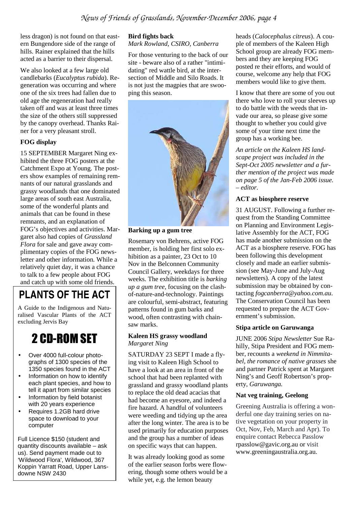less dragon) is not found on that eastern Bungendore side of the range of hills. Rainer explained that the hills acted as a barrier to their dispersal.

We also looked at a few large old candlebarks (*Eucalyptus rubida*). Regeneration was occurring and where one of the six trees had fallen due to old age the regeneration had really taken off and was at least three times the size of the others still suppressed by the canopy overhead. Thanks Rainer for a very pleasant stroll.

#### **FOG display**

15 SEPTEMBER Margaret Ning exhibited the three FOG posters at the Catchment Expo at Young. The posters show examples of remaining remnants of our natural grasslands and grassy woodlands that one dominated large areas of south east Australia, some of the wonderful plants and animals that can be found in these remnants, and an explanation of FOG's objectives and activities. Margaret also had copies of *Grassland Flora* for sale and gave away complimentary copies of the FOG newsletter and other information. While a relatively quiet day, it was a chance to talk to a few people about FOG and catch up with some old friends.

## **PLANTS OF THE ACT**

A Guide to the Indigenous and Naturalised Vascular Plants of the ACT excluding Jervis Bay

# 2 CD-ROM SET

- Over 4000 full-colour photographs of 1300 species of the 1350 species found in the ACT
- Information on how to identify each plant species, and how to tell it apart from similar species
- Information by field botanist with 20 years experience
- Requires 1.2GB hard drive space to download to your computer

Full Licence \$150 (student and quantity discounts available – ask us). Send payment made out to 'Wildwood Flora', Wildwood, 367 Koppin Yarratt Road, Upper Lansdowne NSW 2430

#### **Bird fights back**

*Mark Rowland, CSIRO, Canberra* 

For those venturing to the back of our site - beware also of a rather "intimidating" red wattle bird, at the intersection of Middle and Silo Roads. It is not just the magpies that are swooping this season.



**Barking up a gum tree** 

Rosemary von Behrens, active FOG member, is holding her first solo exhibition as a painter, 23 Oct to 10 Nov in the Belconnen Community Council Gallery, weekdays for three weeks. The exhibition title is *barking up a gum tree,* focusing on the clashof-nature-and-technology. Paintings are colourful, semi-abstract, featuring patterns found in gum barks and wood, often contrasting with chainsaw marks.

#### **Kaleen HS grassy woodland**  *Margaret Ning*

SATURDAY 23 SEPT I made a flying visit to Kaleen High School to have a look at an area in front of the school that had been replanted with grassland and grassy woodland plants to replace the old dead acacias that had become an eyesore, and indeed a fire hazard. A handful of volunteers were weeding and tidying up the area after the long winter. The area is to be used primarily for education purposes and the group has a number of ideas on specific ways that can happen.

It was already looking good as some of the earlier season forbs were flowering, though some others would be a while yet, e.g. the lemon beauty

heads (*Calocephalus citreus*). A couple of members of the Kaleen High School group are already FOG members and they are keeping FOG posted re their efforts, and would of course, welcome any help that FOG members would like to give them.

I know that there are some of you out there who love to roll your sleeves up to do battle with the weeds that invade our area, so please give some thought to whether you could give some of your time next time the group has a working bee.

*An article on the Kaleen HS landscape project was included in the Sept-Oct 2005 newsletter and a further mention of the project was made on page 5 of the Jan-Feb 2006 issue. – editor.* 

#### **ACT as biosphere reserve**

31 AUGUST. Following a further request from the Standing Committee on Planning and Environment Legislative Assembly for the ACT, FOG has made another submission on the ACT as a biosphere reserve. FOG has been following this development closely and made an earlier submission (see May-June and July-Aug newsletters). A copy of the latest submission may be obtained by contacting *fogcanberra@yahoo.com.au*. The Conservation Council has been requested to prepare the ACT Government's submission.

#### **Stipa article on Garuwanga**

JUNE 2006 *Stipa Newsletter* Sue Rahilly, Stipa President and FOG member, recounts a *weekend in Nimmitabel, the romance of native grasses* she and partner Patrick spent at Margaret Ning's and Geoff Robertson's property, *Garuwanga.* 

#### **Nat veg training, Geelong**

Greening Australia is offering a wonderful one day training series on native vegetation on your property in Oct, Nov, Feb, March and Apr). To enquire contact Rebecca Passlow rpasslow@gavic.org.au or visit www.greeningaustralia.org.au.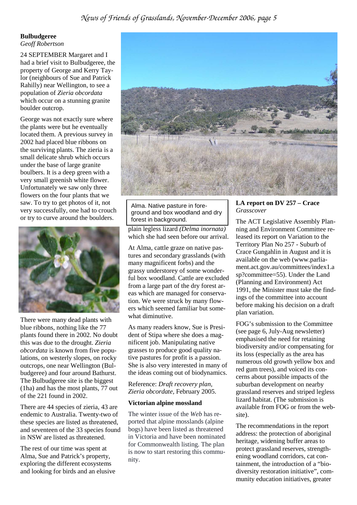#### **Bulbudgeree**  *Geoff Robertson*

24 SEPTEMBER Margaret and I had a brief visit to Bulbudgeree, the property of George and Kerry Taylor (neighbours of Sue and Patrick Rahilly) near Wellington, to see a population of *Zieria obcordata*  which occur on a stunning granite boulder outcrop.

George was not exactly sure where the plants were but he eventually located them. A previous survey in 2002 had placed blue ribbons on the surviving plants. The zieria is a small delicate shrub which occurs under the base of large granite boulbers. It is a deep green with a very small greenish white flower. Unfortunately we saw only three flowers on the four plants that we saw. To try to get photos of it, not very successfully, one had to crouch or try to curve around the boulders.



There were many dead plants with blue ribbons, nothing like the 77 plants found there in 2002. No doubt this was due to the drought. *Zieria obcordata* is known from five populations, on westerly slopes, on rocky outcrops, one near Wellington (Bulbudgeree) and four around Bathurst. The Bulbudgeree site is the biggest (1ha) and has the most plants, 77 out of the 221 found in 2002.

There are 44 species of zieria, 43 are endemic to Australia. Twenty-two of these species are listed as threatened, and seventeen of the 33 species found in NSW are listed as threatened.

The rest of our time was spent at Alma, Sue and Patrick's property, exploring the different ecosystems and looking for birds and an elusive



Alma. Native pasture in foreground and box woodland and dry forest in background.

plain legless lizard *(Delma inornata)*  which she had seen before our arrival.

At Alma, cattle graze on native pastures and secondary grasslands (with many magnificent forbs) and the grassy understorey of some wonderful box woodland. Cattle are excluded from a large part of the dry forest areas which are managed for conservation. We were struck by many flowers which seemed familiar but somewhat diminutive.

As many readers know, Sue is President of Stipa where she does a magnificent job. Manipulating native grasses to produce good quality native pastures for profit is a passion. She is also very interested in many of the ideas coming out of biodynamics.

Reference: *Draft recovery plan, Zieria obcordate,* February 2005.

#### **Victorian alpine mossland**

The winter issue of the *Web* has reported that alpine mosslands (alpine bogs) have been listed as threatened in Victoria and have been nominated for Commonwealth listing. The plan is now to start restoring this community.

#### **LA report on DV 257 – Crace**  *Grasscover*

The ACT Legislative Assembly Planning and Environment Committee released its report on Variation to the Territory Plan No 257 - Suburb of Crace Gungahlin in August and it is available on the web (www.parliament.act.gov.au/committees/index1.a sp?committee=55). Under the Land (Planning and Environment) Act 1991, the Minister must take the findings of the committee into account before making his decision on a draft plan variation.

FOG's submission to the Committee (see page 6, July-Aug newsletter) emphasised the need for retaining biodiversity and/or compensating for its loss (especially as the area has numerous old growth yellow box and red gum trees), and voiced its concerns about possible impacts of the suburban development on nearby grassland reserves and striped legless lizard habitat. (The submission is available from FOG or from the website).

The recommendations in the report address: the protection of aboriginal heritage, widening buffer areas to protect grassland reserves, strengthening woodland corridors, cat containment, the introduction of a "biodiversity restoration initiative", community education initiatives, greater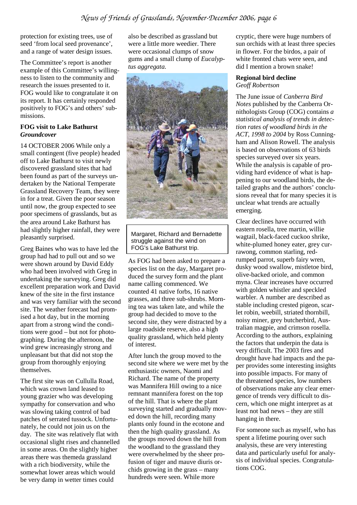protection for existing trees, use of seed 'from local seed provenance', and a range of water design issues.

The Committee's report is another example of this Committee's willingness to listen to the community and research the issues presented to it. FOG would like to congratulate it on its report. It has certainly responded positively to FOG's and others' submissions.

#### **FOG visit to Lake Bathurst**  *Groundcover*

14 OCTOBER 2006 While only a small contingent (five people) headed off to Lake Bathurst to visit newly discovered grassland sites that had been found as part of the surveys undertaken by the National Temperate Grassland Recovery Team, they were in for a treat. Given the poor season until now, the group expected to see poor specimens of grasslands, but as the area around Lake Bathurst has had slightly higher rainfall, they were pleasantly surprised.

Greg Baines who was to have led the group had had to pull out and so we were shown around by David Eddy who had been involved with Greg in undertaking the surveying. Greg did excellent preparation work and David knew of the site in the first instance and was very familiar with the second site. The weather forecast had promised a hot day, but in the morning apart from a strong wind the conditions were good – but not for photographing. During the afternoon, the wind grew increasingly strong and unpleasant but that did not stop the group from thoroughly enjoying themselves.

The first site was on Cullulla Road, which was crown land leased to young grazier who was developing sympathy for conservation and who was slowing taking control of bad patches of serrated tussock. Unfortunately, he could not join us on the day. The site was relatively flat with occasional slight rises and channelled in some areas. On the slightly higher areas there was themeda grassland with a rich biodiversity, while the somewhat lower areas which would be very damp in wetter times could

also be described as grassland but were a little more weedier. There were occasional clumps of snow gums and a small clump of *Eucalyptus aggregata.* 



Margaret, Richard and Bernadette struggle against the wind on FOG's Lake Bathurst trip.

As FOG had been asked to prepare a species list on the day, Margaret produced the survey form and the plant name calling commenced. We counted 41 native forbs, 16 native grasses, and three sub-shrubs. Morning tea was taken late, and while the group had decided to move to the second site, they were distracted by a large roadside reserve, also a high quality grassland, which held plenty of interest.

After lunch the group moved to the second site where we were met by the enthusiastic owners, Naomi and Richard. The name of the property was Mannifera Hill owing to a nice remnant mannifera forest on the top of the hill. That is where the plant surveying started and gradually moved down the hill, recording many plants only found in the ecotone and then the high quality grassland. As the groups moved down the hill from the woodland to the grassland they were overwhelmed by the sheer profusion of tiger and mauve diuris orchids growing in the grass – many hundreds were seen. While more

cryptic, there were huge numbers of sun orchids with at least three species in flower. For the birdos, a pair of white fronted chats were seen, and did I mention a brown snake!

#### **Regional bird decline**  *Geoff Robertson*

The June issue of *Canberra Bird Notes* published by the Canberra Ornithologists Group (COG) contains *a statistical analysis of trends in detection rates of woodland birds in the ACT, 1998 to 2004* by Ross Cunningham and Alison Rowell. The analysis is based on observations of 63 birds species surveyed over six years. While the analysis is capable of providing hard evidence of what is happening to our woodland birds, the detailed graphs and the authors' conclusions reveal that for many species it is unclear what trends are actually emerging.

Clear declines have occurred with eastern rosella, tree martin, willie wagtail, black-faced cuckoo shrike, white-plumed honey eater, grey currawong, common starling, redrumped parrot, superb fairy wren, dusky wood swallow, mistletoe bird, olive-backed oriole, and common myna. Clear increases have occurred with golden whistler and speckled warbler. A number are described as stable including crested pigeon, scarlet robin, weebill, striated thornbill, noisy miner, grey butcherbird, Australian magpie, and crimson rosella. According to the authors, explaining the factors that underpin the data is very difficult. The 2003 fires and drought have had impacts and the paper provides some interesting insights into possible impacts. For many of the threatened species, low numbers of observations make any clear emergence of trends very difficult to discern, which one might interpret as at least not bad news – they are still hanging in there.

For someone such as myself, who has spent a lifetime pouring over such analysis, these are very interesting data and particularly useful for analysis of individual species. Congratulations COG.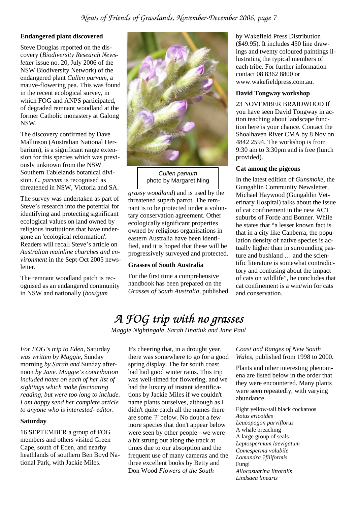#### **Endangered plant discovered**

Steve Douglas reported on the discovery (*Biodiversity Research Newsletter* issue no. 20, July 2006 of the NSW Biodiversity Network) of the endangered plant *Cullen parvum,* a mauve-flowering pea. This was found in the recent ecological survey, in which FOG and ANPS participated, of degraded remnant woodland at the former Catholic monastery at Galong NSW.

The discovery confirmed by Dave Mallinson (Australian National Herbarium), is a significant range extension for this species which was previously unknown from the NSW Southern Tablelands botanical division. *C. parvum* is recognised as threatened in NSW, Victoria and SA.

The survey was undertaken as part of Steve's research into the potential for identifying and protecting significant ecological values on land owned by religious institutions that have undergone an 'ecological reformation'. Readers will recall Steve's article on *Australian mainline churches and environment* in the Sept-Oct 2005 newsletter.

The remnant woodland patch is recognised as an endangered community in NSW and nationally (*box/gum* 



Cullen parvum photo by Margaret Ning

*grassy woodland*) and is used by the threatened superb parrot. The remnant is to be protected under a voluntary conservation agreement. Other ecologically significant properties owned by religious organisations in eastern Australia have been identified, and it is hoped that these will be progressively surveyed and protected.

#### **Grasses of South Australia**

For the first time a comprehensive handbook has been prepared on the *Grasses of South Australia,* published by Wakefield Press Distribution (\$49.95). It includes 450 line drawings and twenty coloured paintings illustrating the typical members of each tribe. For further information contact 08 8362 8800 or www.wakefieldpress.com.au.

#### **David Tongway workshop**

23 NOVEMBER BRAIDWOOD If you have seen David Tongway in action teaching about landscape function here is your chance. Contact the Shoalhaven River CMA by 8 Nov on 4842 2594. The workshop is from 9:30 am to 3:30pm and is free (lunch provided).

#### **Cat among the pigeons**

In the latest edition of *Gunsmoke*, the Gungahlin Community Newsletter, Michael Haywood (Gungahlin Veterinary Hospital) talks about the issue of cat confinement in the new ACT suburbs of Forde and Bonner. While he states that "a lesser known fact is that in a city like Canberra, the population density of native species is actually higher than in surrounding pasture and bushland … and the scientific literature is somewhat contradictory and confusing about the impact of cats on wildlife", he concludes that cat confinement is a win/win for cats and conservation.

## *A FOG trip with no grasses A FOG trip with grasses grasses*

*Maggie Nightingale, Sarah Hnatiuk and Jane Paul* 

*For FOG's trip to Eden,* Saturday *was written by Maggie,* Sunday morning *by Sarah and* Sunday afternoon *by Jane. Maggie's contribution included notes on each of her list of sightings which make fascinating reading, but were too long to include. I am happy send her complete article to anyone who is interested- editor.* 

#### **Saturday**

16 SEPTEMBER a group of FOG members and others visited Green Cape, south of Eden, and nearby heathlands of southern Ben Boyd National Park, with Jackie Miles.

It's cheering that, in a drought year, there was somewhere to go for a good spring display. The far south coast had had good winter rains. This trip was well-timed for flowering, and we had the luxury of instant identifications by Jackie Miles if we couldn't name plants ourselves, although as I didn't quite catch all the names there are some '?' below. No doubt a few more species that don't appear below were seen by other people - we were a bit strung out along the track at times due to our absorption and the frequent use of many cameras and the three excellent books by Betty and Don Wood *Flowers of the South* 

*Coast and Ranges of New South Wales*, published from 1998 to 2000.

Plants and other interesting phenomena are listed below in the order that they were encountered. Many plants were seen repeatedly, with varying abundance.

Eight yellow-tail black cockatoos *Aotus ericoides Leucopogon parviflorus*  A whale breaching A large group of seals *Leptospermum laevigatum Comesperma volubile Lomandra ?filiformis*  Fungi *Allocasuarina littoralis Lindsaea linearis*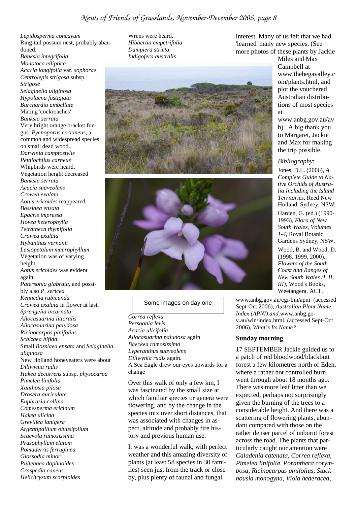*Lepidosperma concavum*  Ring-tail possum nest, probably abandoned. *Banksia integrifolia Monotoca elliptica Acacia longifolia* var. *sophorae Centrolepis strigosa* subsp. *Strigose Selaginella uliginosa Hypolaena fastigiata Burchardia umbellate*  Mating 'cockroaches' *Banksia serrata*  Very bright orange bracket fungus. *Pycnoporus coccineus*, a common and widespread species on small dead wood.. *Darwinia camptostylis Petalochilus carneus*  Whipbirds were heard. Vegetation height decreased *Banksia serrata Acacia suaveolens Crowea exalata Aotus ericoides* reappeared. *Bossiaea ensata Epacris impressa Hovea heterophylla Tetratheca thymifolia Crowea exalata Hybanthus vernonii Lasiopetalum macrophyllum*  Vegetation was of varying height. *Aotus ericoides* was evident again. *Patersonia glabrata,* and possibly also *P. sericea Kennedia rubicunda Crowea exalata* in flower at last. *Sprengelia incarnata Allocasuarina littoralis Allocasuarina paludosa Ricinocarpos pinifolius Schizaea bifida*  Small *Bossiaea ensata* and *Selaginella uliginosa*  New Holland honeyeaters were about *Dillwynia rudis Hakea decurrens* subsp. *physocarpa Pimelea linifolia Xanthosia pilosa Drosera auriculate Euphrasia collina Comesperma ericinum Hakea ulicina Grevillea lanigera Argentipallium obtusifolium Scaevola ramosissima Prasophyllum elatum Pomaderris ferruginea Glossodia minor Pultenaea daphnoides Craspedia canens Helichrysum scorpioides* 

Wrens were heard. *Hibbertia empetrifolia Dampiera stricta Indigofera australis* 





#### Some images on day one

*Correa reflexa Persoonia levis Acacia ulicifolia Allocasuarina paludosa* again *Baeckea ramosissima Lyperanthus suaveolens Dillwynia rudis* again. A Sea Eagle drew our eyes upwards for a change

Over this walk of only a few km, I was fascinated by the small size at which familiar species or genera were flowering, and by the change in the species mix over short distances, that was associated with changes in aspect, altitude and probably fire history and previous human use.

It was a wonderful walk, with perfect weather and this amazing diversity of plants (at least 58 species in 30 families) seen just from the track or close by, plus plenty of faunal and fungal

interest. Many of us felt that we had 'learned' many new species. (See more photos of these plants by Jackie

Miles and Max Campbell at www.thebegavalley.c om/plants.html, and plot the vouchered Australian distributions of most species at

www.anbg.gov.au/av h). A big thank you to Margaret, Jackie and Max for making the trip possible.

#### *Bibliography*:

Jones, D.L. (2006), *A Complete Guide to Native Orchids of Australia Including the Island Territories,* Reed New Holland, Sydney, NSW. Harden, G. (ed.) (1990- 1993), *Flora of New South Wales, Volumes 1-4,* Royal Botanic Gardens Sydney, NSW.

Wood, B. and Wood, D. (1998, 1999, 2000), *Flowers of the South Coast and Ranges of New South Wales (I, II, III),* Wood's Books, Weetangera, ACT.

www.anbg.gov.au/cgi-bin/apni (accessed Sept-Oct 2006), *Australian Plant Name Index (APNI) and.*www.anbg.gov.au/win/index.html (accessed Sept-Oct 2006), *What's Its Name?*

#### **Sunday morning**

17 SEPTEMBER Jackie guided us to a patch of red bloodwood/blackbutt forest a few kilometres north of Eden, where a rather hot controlled burn went through about 18 months ago. There was more leaf litter than we expected, perhaps not surprisingly given the burning of the trees to a considerable height. And there was a scattering of flowering plants, abundant compared with those on the rather denser parcel of unburnt forest across the road. The plants that particularly caught our attention were *Caladenia catenata, Correa reflexa*, *Pimelea linifolia, Poranthera corymbosa, Ricinocarpus pinifolius, Stackhousia monogyna, Viola hederacea*,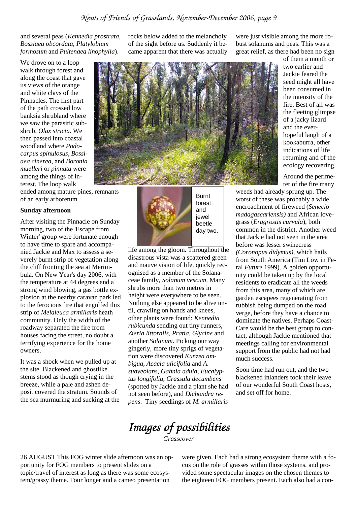and several peas (*Kennedia prostrata, Bossiaea obcordata*, *Platylobium formosum* and *Pultenaea linophylla*).

We drove on to a loop walk through forest and along the coast that gave us views of the orange and white clays of the Pinnacles. The first part of the path crossed low banksia shrubland where we saw the parasitic subshrub, *Olax stricta*. We then passed into coastal woodland where *Podocarpus spinulosus, Bossiaea cinerea,* and *Boronia muelleri* or *pinnata* were among the things of interest. The loop walk

ended among mature pines, remnants of an early arboretum.

#### **Sunday afternoon**

After visiting the Pinnacle on Sunday morning, two of the 'Escape from Winter' group were fortunate enough to have time to spare and accompanied Jackie and Max to assess a severely burnt strip of vegetation along the cliff fronting the sea at Merimbula. On New Year's day 2006, with the temperature at 44 degrees and a strong wind blowing, a gas bottle explosion at the nearby caravan park led to the ferocious fire that engulfed this strip of *Melaleuca armillaris* heath community. Only the width of the roadway separated the fire from houses facing the street, no doubt a terrifying experience for the home owners.

It was a shock when we pulled up at the site. Blackened and ghostlike stems stood as though crying in the breeze, while a pale and ashen deposit covered the stratum. Sounds of the sea murmuring and sucking at the rocks below added to the melancholy of the sight before us. Suddenly it became apparent that there was actually



of them a month or two earlier and Jackie feared the seed might all have been consumed in the intensity of the fire. Best of all was the fleeting glimpse of a jacky lizard and the everhopeful laugh of a kookaburra, other indications of life returning and of the ecology recovering.

Around the perimeter of the fire many

weeds had already sprung up. The worst of these was probably a wide encroachment of fireweed (*Senecio madagascariensis)* and African lovegrass (*Eragrostis curvula*), both common in the district. Another weed that Jackie had not seen in the area before was lesser swinecress *(Coronopus didymus)*, which hails from South America (Tim Low in Feral *Future* 1999). A golden opportunity could be taken up by the local residents to eradicate all the weeds from this area, many of which are garden escapees regenerating from rubbish being dumped on the road verge, before they have a chance to dominate the natives. Perhaps Coast-Care would be the best group to contact, although Jackie mentioned that meetings calling for environmental support from the public had not had much success.

Soon time had run out, and the two blackened inlanders took their leave of our wonderful South Coast hosts, and set off for home.

forest and jewel beetle – day two.

Burnt

life among the gloom. Throughout the disastrous vista was a scattered green and mauve vision of life, quickly recognised as a member of the Solanaceae family, *Solanum vescum*. Many shrubs more than two metres in height were everywhere to be seen. Nothing else appeared to be alive until, crawling on hands and knees, other plants were found: *Kennedia rubicunda* sending out tiny runners, *Zieria littoralis*, *Pratia*, *Glycine* and another *Solanum*. Picking our way gingerly, more tiny sprigs of vegetation were discovered *Kunzea ambigua*, *Acacia ulicifolia* and *A. suaveolans*, *Gahnia adula*, *Eucalyptus longifolia*, *Crassula decumbens* (spotted by Jackie and a plant she had not seen before), and *Dichondra repens*. Tiny seedlings of *M. armillaris*

*Images of possibilities possibilities* 

*Grasscover* 

26 AUGUST This FOG winter slide afternoon was an opportunity for FOG members to present slides on a topic/travel of interest as long as there was some ecosystem/grassy theme. Four longer and a cameo presentation

were given. Each had a strong ecosystem theme with a focus on the role of grasses within those systems, and provided some spectacular images on the chosen themes to the eighteen FOG members present. Each also had a con-

were just visible among the more robust solanums and peas. This was a great relief, as there had been no sign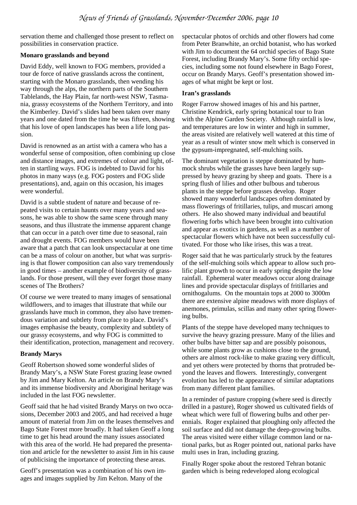servation theme and challenged those present to reflect on possibilities in conservation practice.

#### **Monaro grasslands and beyond**

David Eddy, well known to FOG members, provided a tour de force of native grasslands across the continent, starting with the Monaro grasslands, then wending his way through the alps, the northern parts of the Southern Tablelands, the Hay Plain, far north-west NSW, Tasmania, grassy ecosystems of the Northern Territory, and into the Kimberley. David's slides had been taken over many years and one dated from the time he was fifteen, showing that his love of open landscapes has been a life long passion.

David is renowned as an artist with a camera who has a wonderful sense of composition, often combining up close and distance images, and extremes of colour and light, often in startling ways. FOG is indebted to David for his photos in many ways (e.g. FOG posters and FOG slide presentations), and, again on this occasion, his images were wonderful.

David is a subtle student of nature and because of repeated visits to certain haunts over many years and seasons, he was able to show the same scene through many seasons, and thus illustrate the immense apparent change that can occur in a patch over time due to seasonal, rain and drought events. FOG members would have been aware that a patch that can look unspectacular at one time can be a mass of colour on another, but what was surprising is that flower composition can also vary tremendously in good times – another example of biodiversity of grasslands. For those present, will they ever forget those many scenes of The Brothers?

Of course we were treated to many images of sensational wildflowers, and to images that illustrate that while our grasslands have much in common, they also have tremendous variation and subtlety from place to place. David's images emphasise the beauty, complexity and subtlety of our grassy ecosystems, and why FOG is committed to their identification, protection, management and recovery.

#### **Brandy Marys**

Geoff Robertson showed some wonderful slides of Brandy Mary's, a NSW State Forest grazing lease owned by Jim and Mary Kelton. An article on Brandy Mary's and its immense biodiversity and Aboriginal heritage was included in the last FOG newsletter.

Geoff said that he had visited Brandy Marys on two occasions, December 2003 and 2005, and had received a huge amount of material from Jim on the leases themselves and Bago State Forest more broadly. It had taken Geoff a long time to get his head around the many issues associated with this area of the world. He had prepared the presentation and article for the newsletter to assist Jim in his cause of publicising the importance of protecting these areas.

Geoff's presentation was a combination of his own images and images supplied by Jim Kelton. Many of the

spectacular photos of orchids and other flowers had come from Peter Branwhite, an orchid botanist, who has worked with Jim to document the 64 orchid species of Bago State Forest, including Brandy Mary's. Some fifty orchid species, including some not found elsewhere in Bago Forest, occur on Brandy Marys. Geoff's presentation showed images of what might be kept or lost.

#### **Iran's grasslands**

Roger Farrow showed images of his and his partner, Christine Kendrick, early spring botanical tour to Iran with the Alpine Garden Society. Although rainfall is low, and temperatures are low in winter and high in summer, the areas visited are relatively well watered at this time of year as a result of winter snow melt which is conserved in the gypsum-impregnated, self-mulching soils.

The dominant vegetation is steppe dominated by hummock shrubs while the grasses have been largely suppressed by heavy grazing by sheep and goats. There is a spring flush of lilies and other bulbous and tuberous plants in the steppe before grasses develop. Roger showed many wonderful landscapes often dominated by mass flowerings of fritillaries, tulips, and muscari among others. He also showed many individual and beautiful flowering forbs which have been brought into cultivation and appear as exotics in gardens, as well as a number of spectacular flowers which have not been successfully cultivated. For those who like irises, this was a treat.

Roger said that he was particularly struck by the features of the self-mulching soils which appear to allow such prolific plant growth to occur in early spring despite the low rainfall. Ephemeral water meadows occur along drainage lines and provide spectacular displays of fritillaries and ornithogalums. On the mountain tops at 2000 to 3000m there are extensive alpine meadows with more displays of anemones, primulas, scillas and many other spring flowering bulbs.

Plants of the steppe have developed many techniques to survive the heavy grazing pressure. Many of the lilies and other bulbs have bitter sap and are possibly poisonous, while some plants grow as cushions close to the ground, others are almost rock-like to make grazing very difficult, and yet others were protected by thorns that protruded beyond the leaves and flowers. Interestingly, convergent evolution has led to the appearance of similar adaptations from many different plant families.

In a reminder of pasture cropping (where seed is directly drilled in a pasture), Roger showed us cultivated fields of wheat which were full of flowering bulbs and other perennials. Roger explained that ploughing only affected the soil surface and did not damage the deep-growing bulbs. The areas visited were either village common land or national parks, but as Roger pointed out, national parks have multi uses in Iran, including grazing.

Finally Roger spoke about the restored Tehran botanic garden which is being redeveloped along ecological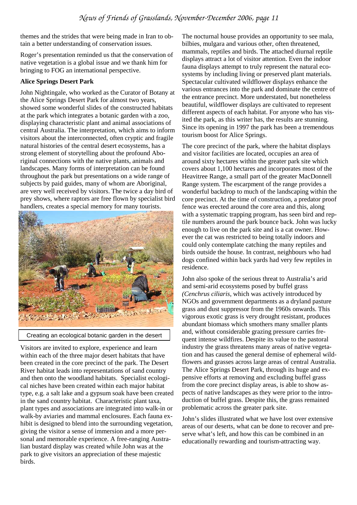themes and the strides that were being made in Iran to obtain a better understanding of conservation issues.

Roger's presentation reminded us that the conservation of native vegetation is a global issue and we thank him for bringing to FOG an international perspective.

#### **Alice Springs Desert Park**

John Nightingale, who worked as the Curator of Botany at the Alice Springs Desert Park for almost two years, showed some wonderful slides of the constructed habitats at the park which integrates a botanic garden with a zoo, displaying characteristic plant and animal associations of central Australia. The interpretation, which aims to inform visitors about the interconnected, often cryptic and fragile natural histories of the central desert ecosystems, has a strong element of storytelling about the profound Aboriginal connections with the native plants, animals and landscapes. Many forms of interpretation can be found throughout the park but presentations on a wide range of subjects by paid guides, many of whom are Aboriginal, are very well received by visitors. The twice a day bird of prey shows, where raptors are free flown by specialist bird handlers, creates a special memory for many tourists.



Creating an ecological botanic garden in the desert

Visitors are invited to explore, experience and learn within each of the three major desert habitats that have been created in the core precinct of the park. The Desert River habitat leads into representations of sand country and then onto the woodland habitats. Specialist ecological niches have been created within each major habitat type, e.g. a salt lake and a gypsum soak have been created in the sand country habitat. Characteristic plant taxa, plant types and associations are integrated into walk-in or walk-by aviaries and mammal enclosures. Each fauna exhibit is designed to blend into the surrounding vegetation, giving the visitor a sense of immersion and a more personal and memorable experience. A free-ranging Australian bustard display was created while John was at the park to give visitors an appreciation of these majestic birds.

The nocturnal house provides an opportunity to see mala, bilbies, mulgara and various other, often threatened, mammals, reptiles and birds. The attached diurnal reptile displays attract a lot of visitor attention. Even the indoor fauna displays attempt to truly represent the natural ecosystems by including living or preserved plant materials. Spectacular cultivated wildflower displays enhance the various entrances into the park and dominate the centre of the entrance precinct. More understated, but nonetheless beautiful, wildflower displays are cultivated to represent different aspects of each habitat. For anyone who has visited the park, as this writer has, the results are stunning. Since its opening in 1997 the park has been a tremendous tourism boost for Alice Springs.

The core precinct of the park, where the habitat displays and visitor facilities are located, occupies an area of around sixty hectares within the greater park site which covers about 1,100 hectares and incorporates most of the Heavitree Range, a small part of the greater MacDonnell Range system. The escarpment of the range provides a wonderful backdrop to much of the landscaping within the core precinct. At the time of construction, a predator proof fence was erected around the core area and this, along with a systematic trapping program, has seen bird and reptile numbers around the park bounce back. John was lucky enough to live on the park site and is a cat owner. However the cat was restricted to being totally indoors and could only contemplate catching the many reptiles and birds outside the house. In contrast, neighbours who had dogs confined within back yards had very few reptiles in residence.

John also spoke of the serious threat to Australia's arid and semi-arid ecosystems posed by buffel grass *(Cenchrus ciliaris,* which was actively introduced by NGOs and government departments as a dryland pasture grass and dust suppressor from the 1960s onwards. This vigorous exotic grass is very drought resistant, produces abundant biomass which smothers many smaller plants and, without considerable grazing pressure carries frequent intense wildfires. Despite its value to the pastoral industry the grass threatens many areas of native vegetation and has caused the general demise of ephemeral wildflowers and grasses across large areas of central Australia. The Alice Springs Desert Park, through its huge and expensive efforts at removing and excluding buffel grass from the core precinct display areas, is able to show aspects of native landscapes as they were prior to the introduction of buffel grass. Despite this, the grass remained problematic across the greater park site.

John's slides illustrated what we have lost over extensive areas of our deserts, what can be done to recover and preserve what's left, and how this can be combined in an educationally rewarding and tourism-attracting way.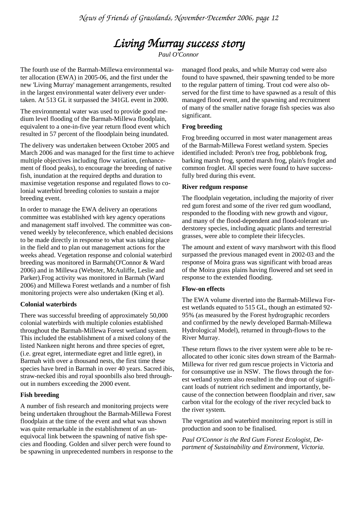### *Living Murray success story Living success story*

*Paul O'Connor* 

The fourth use of the Barmah-Millewa environmental water allocation (EWA) in 2005-06, and the first under the new 'Living Murray' management arrangements, resulted in the largest environmental water delivery ever undertaken. At 513 GL it surpassed the 341GL event in 2000.

The environmental water was used to provide good medium level flooding of the Barmah-Millewa floodplain, equivalent to a one-in-five year return flood event which resulted in 57 percent of the floodplain being inundated.

The delivery was undertaken between October 2005 and March 2006 and was managed for the first time to achieve multiple objectives including flow variation, (enhancement of flood peaks), to encourage the breeding of native fish, inundation at the required depths and duration to maximise vegetation response and regulated flows to colonial waterbird breeding colonies to sustain a major breeding event.

In order to manage the EWA delivery an operations committee was established with key agency operations and management staff involved. The committee was convened weekly by teleconference, which enabled decisions to be made directly in response to what was taking place in the field and to plan out management actions for the weeks ahead. Vegetation response and colonial waterbird breeding was monitored in Barmah(O'Connor & Ward 2006) and in Millewa (Webster, McAuliffe, Leslie and Parker).Frog activity was monitored in Barmah (Ward 2006) and Millewa Forest wetlands and a number of fish monitoring projects were also undertaken (King et al).

#### **Colonial waterbirds**

There was successful breeding of approximately 50,000 colonial waterbirds with multiple colonies established throughout the Barmah-Millewa Forest wetland system. This included the establishment of a mixed colony of the listed Nankeen night herons and three species of egret, (i.e. great egret, intermediate egret and little egret), in Barmah with over a thousand nests, the first time these species have bred in Barmah in over 40 years. Sacred ibis, straw-necked ibis and royal spoonbills also bred throughout in numbers exceeding the 2000 event.

#### **Fish breeding**

A number of fish research and monitoring projects were being undertaken throughout the Barmah-Millewa Forest floodplain at the time of the event and what was shown was quite remarkable in the establishment of an unequivocal link between the spawning of native fish species and flooding. Golden and silver perch were found to be spawning in unprecedented numbers in response to the managed flood peaks, and while Murray cod were also found to have spawned, their spawning tended to be more to the regular pattern of timing. Trout cod were also observed for the first time to have spawned as a result of this managed flood event, and the spawning and recruitment of many of the smaller native forage fish species was also significant.

#### **Frog breeding**

Frog breeding occurred in most water management areas of the Barmah-Millewa Forest wetland system. Species identified included: Peron's tree frog, pobblebonk frog, barking marsh frog, spotted marsh frog, plain's froglet and common froglet. All species were found to have successfully bred during this event.

#### **River redgum response**

The floodplain vegetation, including the majority of river red gum forest and some of the river red gum woodland, responded to the flooding with new growth and vigour, and many of the flood-dependent and flood-tolerant understorey species, including aquatic plants and terrestrial grasses, were able to complete their lifecycles.

The amount and extent of wavy marshwort with this flood surpassed the previous managed event in 2002-03 and the response of Moira grass was significant with broad areas of the Moira grass plains having flowered and set seed in response to the extended flooding.

#### **Flow-on effects**

The EWA volume diverted into the Barmah-Millewa Forest wetlands equated to 515 GL, though an estimated 92- 95% (as measured by the Forest hydrographic recorders and confirmed by the newly developed Barmah-Millewa Hydrological Model), returned in through-flows to the River Murray.

These return flows to the river system were able to be reallocated to other iconic sites down stream of the Barmah-Millewa for river red gum rescue projects in Victoria and for consumptive use in NSW. The flows through the forest wetland system also resulted in the drop out of significant loads of nutrient rich sediment and importantly, because of the connection between floodplain and river, saw carbon vital for the ecology of the river recycled back to the river system.

The vegetation and waterbird monitoring report is still in production and soon to be finalised.

*Paul O'Connor is the Red Gum Forest Ecologist, Department of Sustainability and Environment, Victoria.*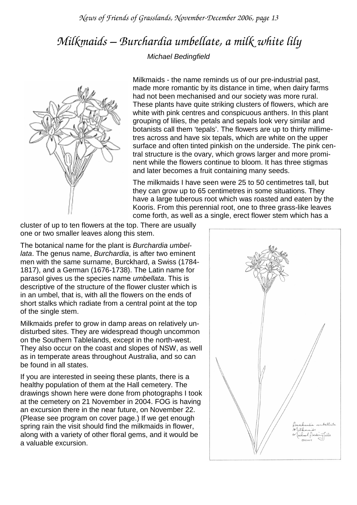*News of Friends of Grasslands, November-December 2006, page 13* 

# *Milkmaids – Burchardia umbellate, a milk white lily*

#### Michael Bedingfield



Milkmaids - the name reminds us of our pre-industrial past, made more romantic by its distance in time, when dairy farms had not been mechanised and our society was more rural. These plants have quite striking clusters of flowers, which are white with pink centres and conspicuous anthers. In this plant grouping of lilies, the petals and sepals look very similar and botanists call them 'tepals'. The flowers are up to thirty millimetres across and have six tepals, which are white on the upper surface and often tinted pinkish on the underside. The pink central structure is the ovary, which grows larger and more prominent while the flowers continue to bloom. It has three stigmas and later becomes a fruit containing many seeds.

The milkmaids I have seen were 25 to 50 centimetres tall, but they can grow up to 65 centimetres in some situations. They have a large tuberous root which was roasted and eaten by the Kooris. From this perennial root, one to three grass-like leaves come forth, as well as a single, erect flower stem which has a

cluster of up to ten flowers at the top. There are usually one or two smaller leaves along this stem.

The botanical name for the plant is Burchardia umbellata. The genus name, Burchardia, is after two eminent men with the same surname, Burckhard, a Swiss (1784- 1817), and a German (1676-1738). The Latin name for parasol gives us the species name umbellata. This is descriptive of the structure of the flower cluster which is in an umbel, that is, with all the flowers on the ends of short stalks which radiate from a central point at the top of the single stem.

Milkmaids prefer to grow in damp areas on relatively undisturbed sites. They are widespread though uncommon on the Southern Tablelands, except in the north-west. They also occur on the coast and slopes of NSW, as well as in temperate areas throughout Australia, and so can be found in all states.

If you are interested in seeing these plants, there is a healthy population of them at the Hall cemetery. The drawings shown here were done from photographs I took at the cemetery on 21 November in 2004. FOG is having an excursion there in the near future, on November 22. (Please see program on cover page.) If we get enough spring rain the visit should find the milkmaids in flower, along with a variety of other floral gems, and it would be a valuable excursion.